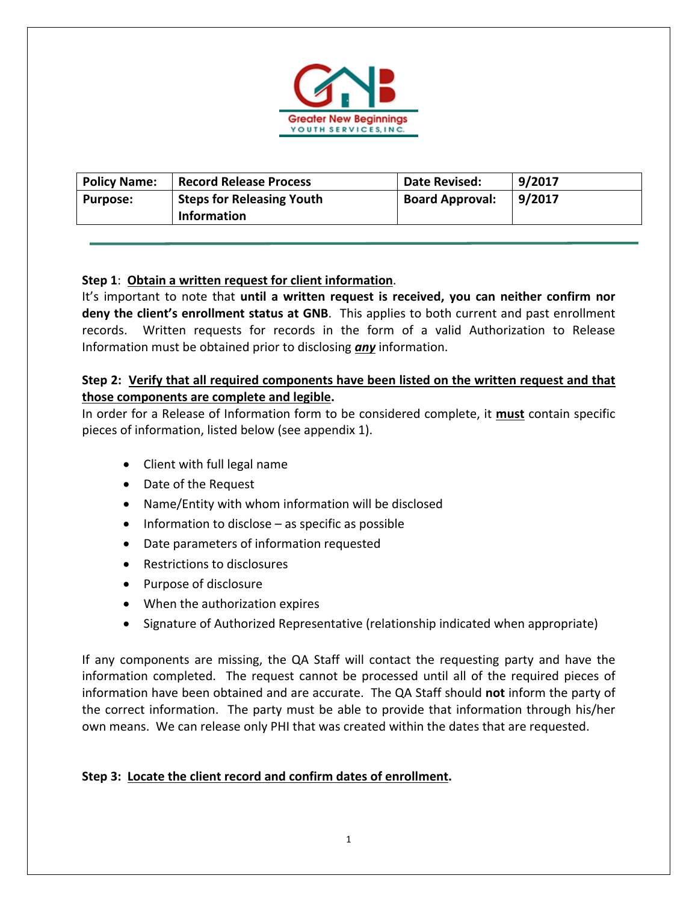

| <b>Policy Name:</b> | <b>Record Release Process</b>    | Date Revised:          | 9/2017 |
|---------------------|----------------------------------|------------------------|--------|
| <b>Purpose:</b>     | <b>Steps for Releasing Youth</b> | <b>Board Approval:</b> | 9/2017 |
|                     | <b>Information</b>               |                        |        |

## **Step 1**: **Obtain a written request for client information**.

It's important to note that **until a written request is received, you can neither confirm nor deny the client's enrollment status at GNB**. This applies to both current and past enrollment records. Written requests for records in the form of a valid Authorization to Release Information must be obtained prior to disclosing *any* information.

#### **Step 2: Verify that all required components have been listed on the written request and that those components are complete and legible.**

In order for a Release of Information form to be considered complete, it **must** contain specific pieces of information, listed below (see appendix 1).

- Client with full legal name
- Date of the Request
- Name/Entity with whom information will be disclosed
- $\bullet$  Information to disclose as specific as possible
- Date parameters of information requested
- Restrictions to disclosures
- Purpose of disclosure
- When the authorization expires
- Signature of Authorized Representative (relationship indicated when appropriate)

If any components are missing, the QA Staff will contact the requesting party and have the information completed. The request cannot be processed until all of the required pieces of information have been obtained and are accurate. The QA Staff should **not** inform the party of the correct information. The party must be able to provide that information through his/her own means. We can release only PHI that was created within the dates that are requested.

#### **Step 3: Locate the client record and confirm dates of enrollment.**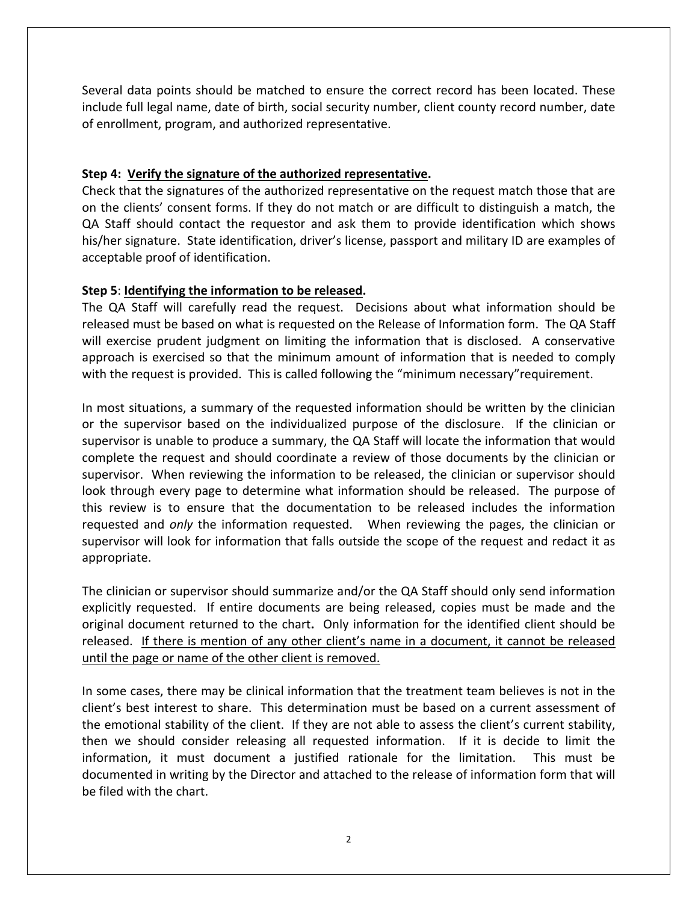Several data points should be matched to ensure the correct record has been located. These include full legal name, date of birth, social security number, client county record number, date of enrollment, program, and authorized representative.

#### **Step 4: Verify the signature of the authorized representative.**

Check that the signatures of the authorized representative on the request match those that are on the clients' consent forms. If they do not match or are difficult to distinguish a match, the QA Staff should contact the requestor and ask them to provide identification which shows his/her signature. State identification, driver's license, passport and military ID are examples of acceptable proof of identification.

#### **Step 5**: **Identifying the information to be released.**

The QA Staff will carefully read the request. Decisions about what information should be released must be based on what is requested on the Release of Information form. The QA Staff will exercise prudent judgment on limiting the information that is disclosed. A conservative approach is exercised so that the minimum amount of information that is needed to comply with the request is provided. This is called following the "minimum necessary"requirement.

In most situations, a summary of the requested information should be written by the clinician or the supervisor based on the individualized purpose of the disclosure. If the clinician or supervisor is unable to produce a summary, the QA Staff will locate the information that would complete the request and should coordinate a review of those documents by the clinician or supervisor. When reviewing the information to be released, the clinician or supervisor should look through every page to determine what information should be released. The purpose of this review is to ensure that the documentation to be released includes the information requested and *only* the information requested. When reviewing the pages, the clinician or supervisor will look for information that falls outside the scope of the request and redact it as appropriate.

The clinician or supervisor should summarize and/or the QA Staff should only send information explicitly requested. If entire documents are being released, copies must be made and the original document returned to the chart**.** Only information for the identified client should be released. If there is mention of any other client's name in a document, it cannot be released until the page or name of the other client is removed.

In some cases, there may be clinical information that the treatment team believes is not in the client's best interest to share. This determination must be based on a current assessment of the emotional stability of the client. If they are not able to assess the client's current stability, then we should consider releasing all requested information. If it is decide to limit the information, it must document a justified rationale for the limitation. This must be documented in writing by the Director and attached to the release of information form that will be filed with the chart.